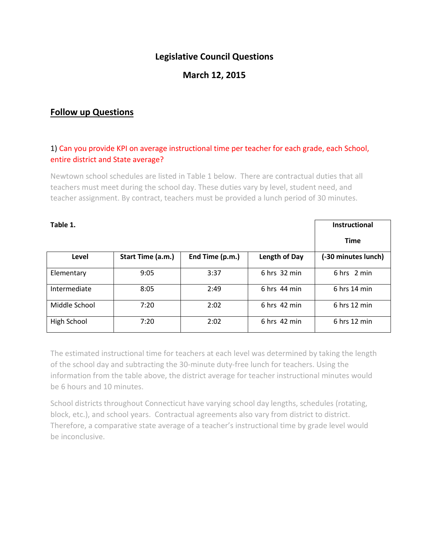# **Legislative Council Questions**

# **March 12, 2015**

## **Follow up Questions**

## 1) Can you provide KPI on average instructional time per teacher for each grade, each School, entire district and State average?

Newtown school schedules are listed in Table 1 below. There are contractual duties that all teachers must meet during the school day. These duties vary by level, student need, and teacher assignment. By contract, teachers must be provided a lunch period of 30 minutes.

| Table 1.      |                   |                 |                | <b>Instructional</b> |
|---------------|-------------------|-----------------|----------------|----------------------|
|               |                   |                 |                | <b>Time</b>          |
| Level         | Start Time (a.m.) | End Time (p.m.) | Length of Day  | (-30 minutes lunch)  |
| Elementary    | 9:05              | 3:37            | $6$ hrs 32 min | 6 hrs 2 min          |
| Intermediate  | 8:05              | 2:49            | $6$ hrs 44 min | $6$ hrs 14 min       |
| Middle School | 7:20              | 2:02            | $6$ hrs 42 min | $6$ hrs 12 min       |
| High School   | 7:20              | 2:02            | $6$ hrs 42 min | $6$ hrs 12 min       |

The estimated instructional time for teachers at each level was determined by taking the length of the school day and subtracting the 30-minute duty-free lunch for teachers. Using the information from the table above, the district average for teacher instructional minutes would be 6 hours and 10 minutes.

School districts throughout Connecticut have varying school day lengths, schedules (rotating, block, etc.), and school years. Contractual agreements also vary from district to district. Therefore, a comparative state average of a teacher's instructional time by grade level would be inconclusive.